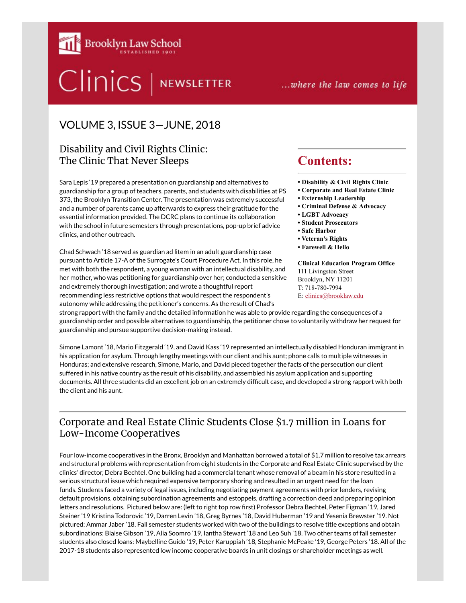# Clinics | NEWSLETTER

## VOLUME 3, ISSUE 3—JUNE, 2018

#### Disability and Civil Rights Clinic: The Clinic That Never Sleeps

Sara Lepis '19 prepared a presentation on guardianship and alternatives to guardianship for a group of teachers, parents, and students with disabilities at PS 373, the Brooklyn Transition Center. The presentation was extremely successful and a number of parents came up afterwards to express their gratitude for the essential information provided. The DCRC plans to continue its collaboration with the school in future semesters through presentations, pop-up brief advice clinics, and other outreach.

Chad Schwach '18 served as guardian ad litem in an adult guardianship case pursuant to Article 17-A of the Surrogate's Court Procedure Act. In this role, he met with both the respondent, a young woman with an intellectual disability, and her mother, who was petitioning for guardianship over her; conducted a sensitive and extremely thorough investigation; and wrote a thoughtful report recommending less restrictive options that would respect the respondent's autonomy while addressing the petitioner's concerns. As the result of Chad's

### **Contents:**

**• Disability & Civil Rights Clinic**

... where the law comes to life

- **Corporate and Real Estate Clinic**
- **Externship Leadership**
- **Criminal Defense & Advocacy**
- **LGBT Advocacy**
- **Student Prosecutors**
- **Safe Harbor**
- **Veteran's Rights**
- **Farewell & Hello**

**Clinical Education Program Office** 111 Livingston Street Brooklyn, NY 11201 T: 718-780-7994 E: [clinics@brooklaw.edu](mailto:clinics@brooklaw.edu)

strong rapport with the family and the detailed information he was able to provide regarding the consequences of a guardianship order and possible alternatives to guardianship, the petitioner chose to voluntarily withdraw her request for guardianship and pursue supportive decision-making instead.

Simone Lamont '18, Mario Fitzgerald '19, and David Kass '19 represented an intellectually disabled Honduran immigrant in his application for asylum. Through lengthy meetings with our client and his aunt; phone calls to multiple witnesses in Honduras; and extensive research, Simone, Mario, and David pieced together the facts of the persecution our client suffered in his native country as the result of his disability, and assembled his asylum application and supporting documents. All three students did an excellent job on an extremely difficult case, and developed a strong rapport with both the client and his aunt.

#### Corporate and Real Estate Clinic Students Close \$1.7 million in Loans for Low-Income Cooperatives

Four low-income cooperatives in the Bronx, Brooklyn and Manhattan borrowed a total of \$1.7 million to resolve tax arrears and structural problems with representation from eight students in the Corporate and Real Estate Clinic supervised by the clinics' director, Debra Bechtel. One building had a commercial tenant whose removal of a beam in his store resulted in a serious structural issue which required expensive temporary shoring and resulted in an urgent need for the loan funds. Students faced a variety of legal issues, including negotiating payment agreements with prior lenders, revising default provisions, obtaining subordination agreements and estoppels, drafting a correction deed and preparing opinion letters and resolutions. Pictured below are: (left to right top row first) Professor Debra Bechtel, Peter Figman '19, Jared Steiner '19 Kristina Todorovic '19, Darren Levin '18, Greg Byrnes '18, David Huberman '19 and Yesenia Brewster '19. Not pictured: Ammar Jaber '18. Fall semester students worked with two of the buildings to resolve title exceptions and obtain subordinations: Blaise Gibson '19, Alia Soomro '19, Iantha Stewart '18 and Leo Suh '18. Two other teams of fall semester students also closed loans: Maybelline Guido '19, Peter Karuppiah '18, Stephanie McPeake '19, George Peters '18. All of the 2017-18 students also represented low income cooperative boards in unit closings or shareholder meetings as well.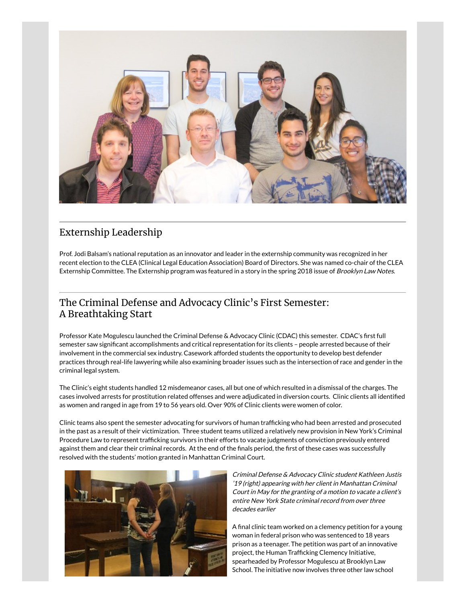

#### Externship Leadership

Prof. Jodi Balsam's national reputation as an innovator and leader in the externship community was recognized in her recent election to the CLEA (Clinical Legal Education Association) Board of Directors. She was named co-chair of the CLEA Externship Committee. The Externship program was featured in a story in the spring 2018 issue of Brooklyn Law Notes.

#### The Criminal Defense and Advocacy Clinic's First Semester: A Breathtaking Start

Professor Kate Mogulescu launched the Criminal Defense & Advocacy Clinic (CDAC) this semester. CDAC's first full semester saw significant accomplishments and critical representation for its clients - people arrested because of their involvement in the commercial sex industry. Casework afforded students the opportunity to develop best defender practices through real-life lawyering while also examining broader issues such as the intersection of race and gender in the criminal legal system.

The Clinic's eight students handled 12 misdemeanor cases, all but one of which resulted in a dismissal of the charges. The cases involved arrests for prostitution related offenses and were adjudicated in diversion courts. Clinic clients all identified as women and ranged in age from 19 to 56 years old. Over 90% of Clinic clients were women of color.

Clinic teams also spent the semester advocating for survivors of human trafficking who had been arrested and prosecuted in the past as a result of their victimization. Three student teams utilized a relatively new provision in New York's Criminal Procedure Law to represent trafficking survivors in their efforts to vacate judgments of conviction previously entered against them and clear their criminal records. At the end of the finals period, the first of these cases was successfully resolved with the students' motion granted in Manhattan Criminal Court.



Criminal Defense & Advocacy Clinic student Kathleen Justis '19 (right) appearing with her client in Manhattan Criminal Court in May for the granting of <sup>a</sup> motion to vacate <sup>a</sup> client's entire New York State criminal record from over three decades earlier

A final clinic team worked on a clemency petition for a young woman in federal prison who was sentenced to 18 years prison as a teenager. The petition was part of an innovative project, the Human Trafficking Clemency Initiative, spearheaded by Professor Mogulescu at Brooklyn Law School. The initiative now involves three other law school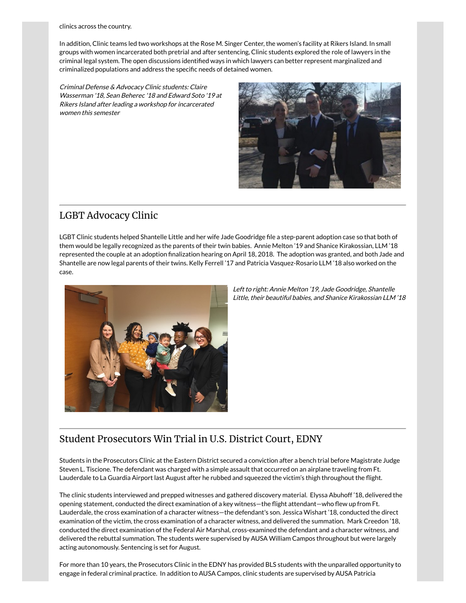clinics across the country.

In addition, Clinic teams led two workshops at the Rose M. Singer Center, the women's facility at Rikers Island. In small groups with women incarcerated both pretrial and after sentencing, Clinic students explored the role of lawyers in the criminal legal system. The open discussions identified ways in which lawyers can better represent marginalized and criminalized populations and address the specific needs of detained women.

Criminal Defense & Advocacy Clinic students: Claire Wasserman '18, Sean Beherec '18 and Edward Soto '19 at Rikers Island after leading <sup>a</sup> workshop for incarcerated women this semester



#### LGBT Advocacy Clinic

LGBT Clinic students helped Shantelle Little and her wife Jade Goodridge file a step-parent adoption case so that both of them would be legally recognized as the parents of their twin babies. Annie Melton '19 and Shanice Kirakossian, LLM '18 represented the couple at an adoption finalization hearing on April 18, 2018. The adoption was granted, and both Jade and Shantelle are now legal parents of their twins. Kelly Ferrell '17 and Patricia Vasquez-Rosario LLM '18 also worked on the case.



Left to right: Annie Melton '19, Jade Goodridge, Shantelle Little, their beautiful babies, and Shanice Kirakossian LLM '18

#### Student Prosecutors Win Trial in U.S. District Court, EDNY

Students in the Prosecutors Clinic at the Eastern District secured a conviction after a bench trial before Magistrate Judge Steven L. Tiscione. The defendant was charged with a simple assault that occurred on an airplane traveling from Ft. Lauderdale to La Guardia Airport last August after he rubbed and squeezed the victim's thigh throughout the flight.

The clinic students interviewed and prepped witnesses and gathered discovery material. Elyssa Abuhoff '18, delivered the opening statement, conducted the direct examination of a key witness—the flight attendant—who flew up from Ft. Lauderdale, the cross examination of a character witness—the defendant's son. Jessica Wishart '18, conducted the direct examination of the victim, the cross examination of a character witness, and delivered the summation. Mark Creedon '18, conducted the direct examination of the Federal Air Marshal, cross-examined the defendant and a character witness, and delivered the rebuttal summation. The students were supervised by AUSA William Campos throughout but were largely acting autonomously. Sentencing is set for August.

For more than 10 years, the Prosecutors Clinic in the EDNY has provided BLS students with the unparalled opportunity to engage in federal criminal practice. In addition to AUSA Campos, clinic students are supervised by AUSA Patricia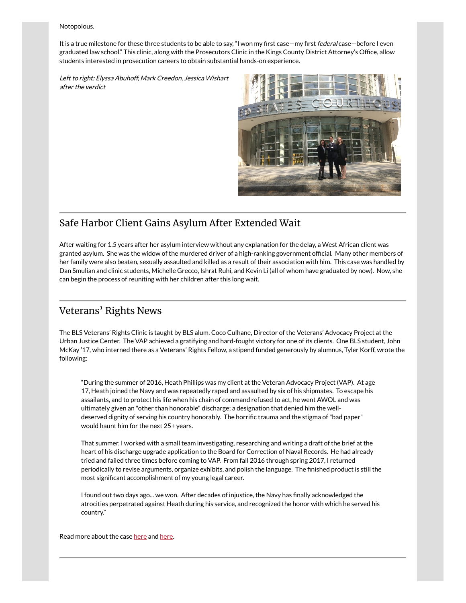Notopolous.

It is a true milestone for these three students to be able to say, "I won my first case—my first federal case—before I even graduated law school." This clinic, along with the Prosecutors Clinic in the Kings County District Attorney's Office, allow students interested in prosecution careers to obtain substantial hands-on experience.

Left to right: Elyssa Abuhoff, Mark Creedon, Jessica Wishart after the verdict



#### Safe Harbor Client Gains Asylum After Extended Wait

After waiting for 1.5 years after her asylum interview without any explanation for the delay, a West African client was granted asylum. She was the widow of the murdered driver of a high-ranking government official. Many other members of her family were also beaten, sexually assaulted and killed as a result of their association with him. This case was handled by Dan Smulian and clinic students, Michelle Grecco, Ishrat Ruhi, and Kevin Li (all of whom have graduated by now). Now, she can begin the process of reuniting with her children after this long wait.

#### Veterans' Rights News

The BLS Veterans' Rights Clinic is taught by BLS alum, Coco Culhane, Director of the Veterans' Advocacy Project at the Urban Justice Center. The VAP achieved a gratifying and hard-fought victory for one of its clients. One BLS student, John McKay '17, who interned there as a Veterans' Rights Fellow, a stipend funded generously by alumnus, Tyler Korff, wrote the following:

"During the summer of 2016, Heath Phillips was my client at the Veteran Advocacy Project (VAP). At age 17, Heath joined the Navy and was repeatedly raped and assaulted by six of his shipmates. To escape his assailants, and to protect his life when his chain of command refused to act, he went AWOL and was ultimately given an "other than honorable" discharge; a designation that denied him the welldeserved dignity of serving his country honorably. The horrific trauma and the stigma of "bad paper" would haunt him for the next 25+ years.

That summer, I worked with a small team investigating, researching and writing a draft of the brief at the heart of his discharge upgrade application to the Board for Correction of Naval Records. He had already tried and failed three times before coming to VAP. From fall 2016 through spring 2017, I returned periodically to revise arguments, organize exhibits, and polish the language. The finished product is still the most significant accomplishment of my young legal career.

I found out two days ago... we won. After decades of injustice, the Navy has finally acknowledged the atrocities perpetrated against Heath during his service, and recognized the honor with which he served his country."

Read more about the case [here](https://www.stripes.com/news/us/after-nearly-29-years-navy-reverses-other-than-honorable-discharge-for-sailor-sexually-assaulted-by-6-shipmates-1.530657) and [here.](https://www.washingtonpost.com/news/morning-mix/wp/2018/06/05/he-went-awol-after-being-sexually-assaulted-after-30-years-the-navy-finally-believed-him/?noredirect=on&utm_term=.8da8c395e55d)